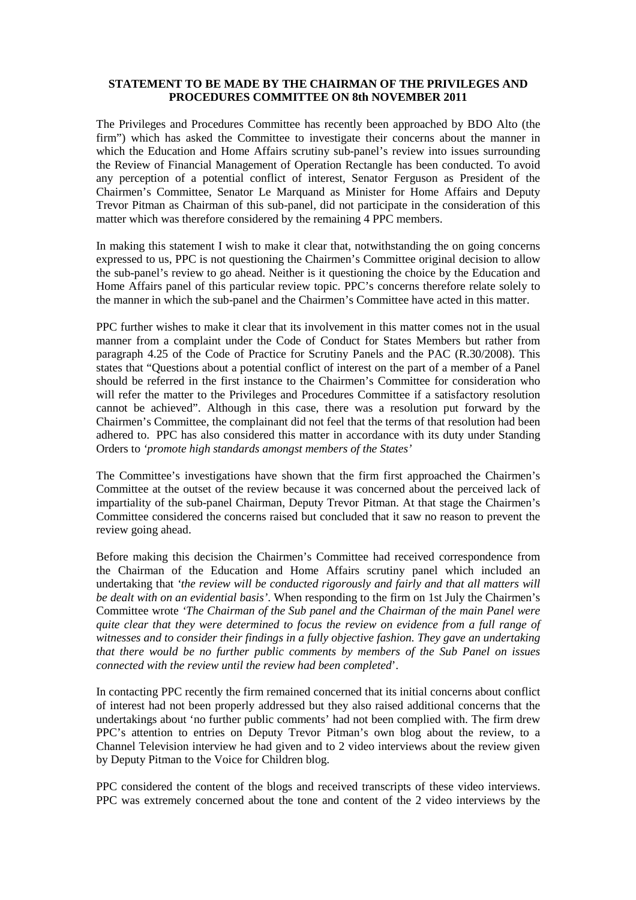#### **STATEMENT TO BE MADE BY THE CHAIRMAN OF THE PRIVILEGES AND PROCEDURES COMMITTEE ON 8th NOVEMBER 2011**

The Privileges and Procedures Committee has recently been approached by BDO Alto (the firm") which has asked the Committee to investigate their concerns about the manner in which the Education and Home Affairs scrutiny sub-panel's review into issues surrounding the Review of Financial Management of Operation Rectangle has been conducted. To avoid any perception of a potential conflict of interest, Senator Ferguson as President of the Chairmen's Committee, Senator Le Marquand as Minister for Home Affairs and Deputy Trevor Pitman as Chairman of this sub-panel, did not participate in the consideration of this matter which was therefore considered by the remaining 4 PPC members.

In making this statement I wish to make it clear that, notwithstanding the on going concerns expressed to us, PPC is not questioning the Chairmen's Committee original decision to allow the sub-panel's review to go ahead. Neither is it questioning the choice by the Education and Home Affairs panel of this particular review topic. PPC's concerns therefore relate solely to the manner in which the sub-panel and the Chairmen's Committee have acted in this matter.

PPC further wishes to make it clear that its involvement in this matter comes not in the usual manner from a complaint under the Code of Conduct for States Members but rather from paragraph 4.25 of the Code of Practice for Scrutiny Panels and the PAC (R.30/2008). This states that "Questions about a potential conflict of interest on the part of a member of a Panel should be referred in the first instance to the Chairmen's Committee for consideration who will refer the matter to the Privileges and Procedures Committee if a satisfactory resolution cannot be achieved". Although in this case, there was a resolution put forward by the Chairmen's Committee, the complainant did not feel that the terms of that resolution had been adhered to. PPC has also considered this matter in accordance with its duty under Standing Orders to *'promote high standards amongst members of the States'*

The Committee's investigations have shown that the firm first approached the Chairmen's Committee at the outset of the review because it was concerned about the perceived lack of impartiality of the sub-panel Chairman, Deputy Trevor Pitman. At that stage the Chairmen's Committee considered the concerns raised but concluded that it saw no reason to prevent the review going ahead.

Before making this decision the Chairmen's Committee had received correspondence from the Chairman of the Education and Home Affairs scrutiny panel which included an undertaking that *'the review will be conducted rigorously and fairly and that all matters will be dealt with on an evidential basis'*. When responding to the firm on 1st July the Chairmen's Committee wrote *'The Chairman of the Sub panel and the Chairman of the main Panel were quite clear that they were determined to focus the review on evidence from a full range of witnesses and to consider their findings in a fully objective fashion. They gave an undertaking that there would be no further public comments by members of the Sub Panel on issues connected with the review until the review had been completed*'.

In contacting PPC recently the firm remained concerned that its initial concerns about conflict of interest had not been properly addressed but they also raised additional concerns that the undertakings about 'no further public comments' had not been complied with. The firm drew PPC's attention to entries on Deputy Trevor Pitman's own blog about the review, to a Channel Television interview he had given and to 2 video interviews about the review given by Deputy Pitman to the Voice for Children blog.

PPC considered the content of the blogs and received transcripts of these video interviews. PPC was extremely concerned about the tone and content of the 2 video interviews by the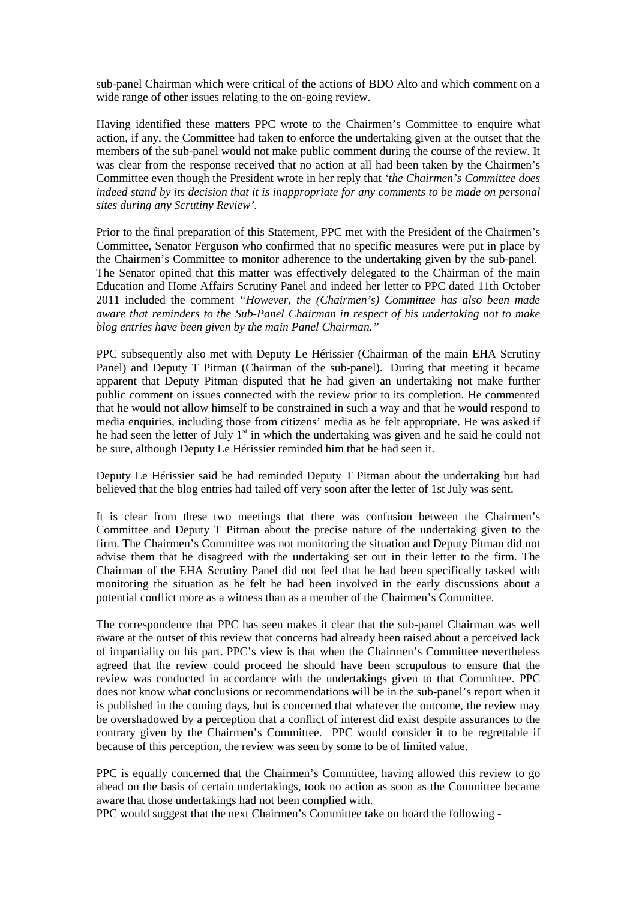sub-panel Chairman which were critical of the actions of BDO Alto and which comment on a wide range of other issues relating to the on-going review.

Having identified these matters PPC wrote to the Chairmen's Committee to enquire what action, if any, the Committee had taken to enforce the undertaking given at the outset that the members of the sub-panel would not make public comment during the course of the review. It was clear from the response received that no action at all had been taken by the Chairmen's Committee even though the President wrote in her reply that *'the Chairmen's Committee does indeed stand by its decision that it is inappropriate for any comments to be made on personal sites during any Scrutiny Review'.* 

Prior to the final preparation of this Statement, PPC met with the President of the Chairmen's Committee, Senator Ferguson who confirmed that no specific measures were put in place by the Chairmen's Committee to monitor adherence to the undertaking given by the sub-panel. The Senator opined that this matter was effectively delegated to the Chairman of the main Education and Home Affairs Scrutiny Panel and indeed her letter to PPC dated 11th October 2011 included the comment *"However, the (Chairmen's) Committee has also been made aware that reminders to the Sub-Panel Chairman in respect of his undertaking not to make blog entries have been given by the main Panel Chairman."*

PPC subsequently also met with Deputy Le Hérissier (Chairman of the main EHA Scrutiny Panel) and Deputy T Pitman (Chairman of the sub-panel). During that meeting it became apparent that Deputy Pitman disputed that he had given an undertaking not make further public comment on issues connected with the review prior to its completion. He commented that he would not allow himself to be constrained in such a way and that he would respond to media enquiries, including those from citizens' media as he felt appropriate. He was asked if he had seen the letter of July  $1<sup>st</sup>$  in which the undertaking was given and he said he could not be sure, although Deputy Le Hérissier reminded him that he had seen it.

Deputy Le Hérissier said he had reminded Deputy T Pitman about the undertaking but had believed that the blog entries had tailed off very soon after the letter of 1st July was sent.

It is clear from these two meetings that there was confusion between the Chairmen's Committee and Deputy T Pitman about the precise nature of the undertaking given to the firm. The Chairmen's Committee was not monitoring the situation and Deputy Pitman did not advise them that he disagreed with the undertaking set out in their letter to the firm. The Chairman of the EHA Scrutiny Panel did not feel that he had been specifically tasked with monitoring the situation as he felt he had been involved in the early discussions about a potential conflict more as a witness than as a member of the Chairmen's Committee.

The correspondence that PPC has seen makes it clear that the sub-panel Chairman was well aware at the outset of this review that concerns had already been raised about a perceived lack of impartiality on his part. PPC's view is that when the Chairmen's Committee nevertheless agreed that the review could proceed he should have been scrupulous to ensure that the review was conducted in accordance with the undertakings given to that Committee. PPC does not know what conclusions or recommendations will be in the sub-panel's report when it is published in the coming days, but is concerned that whatever the outcome, the review may be overshadowed by a perception that a conflict of interest did exist despite assurances to the contrary given by the Chairmen's Committee. PPC would consider it to be regrettable if because of this perception, the review was seen by some to be of limited value.

PPC is equally concerned that the Chairmen's Committee, having allowed this review to go ahead on the basis of certain undertakings, took no action as soon as the Committee became aware that those undertakings had not been complied with.

PPC would suggest that the next Chairmen's Committee take on board the following -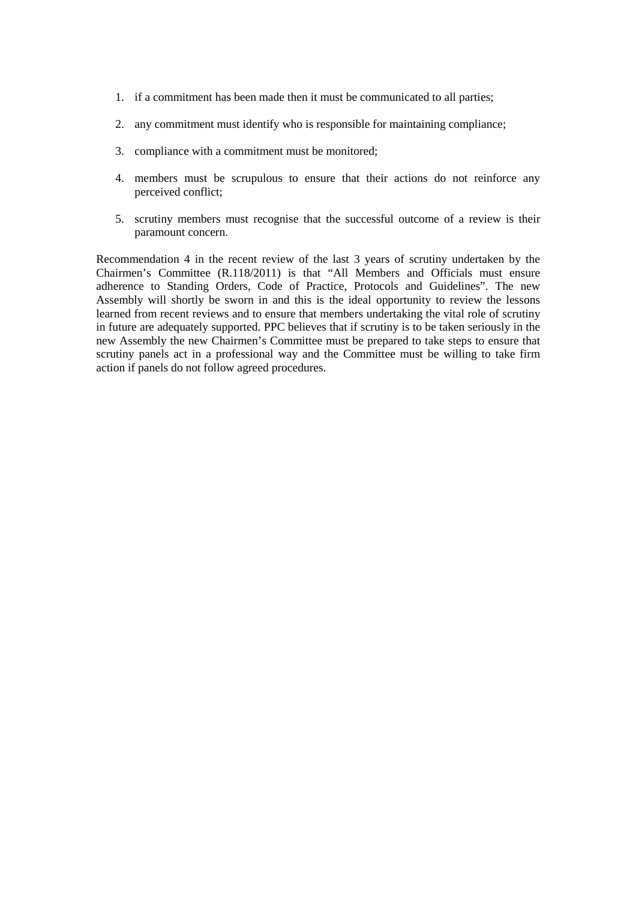- 1. if a commitment has been made then it must be communicated to all parties;
- 2. any commitment must identify who is responsible for maintaining compliance;
- 3. compliance with a commitment must be monitored;
- 4. members must be scrupulous to ensure that their actions do not reinforce any perceived conflict;
- 5. scrutiny members must recognise that the successful outcome of a review is their paramount concern.

Recommendation 4 in the recent review of the last 3 years of scrutiny undertaken by the Chairmen's Committee (R.118/2011) is that "All Members and Officials must ensure adherence to Standing Orders, Code of Practice, Protocols and Guidelines". The new Assembly will shortly be sworn in and this is the ideal opportunity to review the lessons learned from recent reviews and to ensure that members undertaking the vital role of scrutiny in future are adequately supported. PPC believes that if scrutiny is to be taken seriously in the new Assembly the new Chairmen's Committee must be prepared to take steps to ensure that scrutiny panels act in a professional way and the Committee must be willing to take firm action if panels do not follow agreed procedures.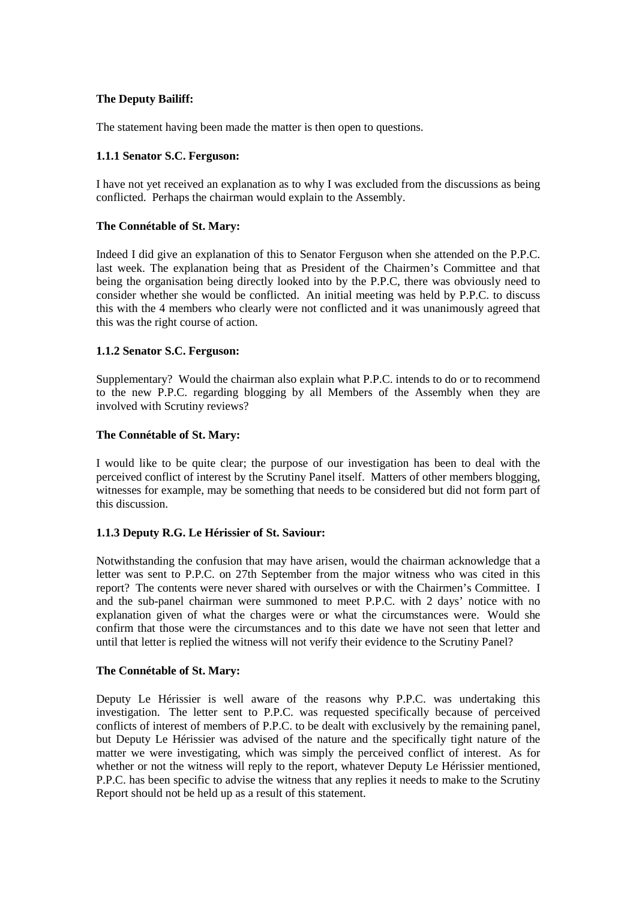## **The Deputy Bailiff:**

The statement having been made the matter is then open to questions.

#### **1.1.1 Senator S.C. Ferguson:**

I have not yet received an explanation as to why I was excluded from the discussions as being conflicted. Perhaps the chairman would explain to the Assembly.

#### **The Connétable of St. Mary:**

Indeed I did give an explanation of this to Senator Ferguson when she attended on the P.P.C. last week. The explanation being that as President of the Chairmen's Committee and that being the organisation being directly looked into by the P.P.C, there was obviously need to consider whether she would be conflicted. An initial meeting was held by P.P.C. to discuss this with the 4 members who clearly were not conflicted and it was unanimously agreed that this was the right course of action.

#### **1.1.2 Senator S.C. Ferguson:**

Supplementary? Would the chairman also explain what P.P.C. intends to do or to recommend to the new P.P.C. regarding blogging by all Members of the Assembly when they are involved with Scrutiny reviews?

#### **The Connétable of St. Mary:**

I would like to be quite clear; the purpose of our investigation has been to deal with the perceived conflict of interest by the Scrutiny Panel itself. Matters of other members blogging, witnesses for example, may be something that needs to be considered but did not form part of this discussion.

## **1.1.3 Deputy R.G. Le Hérissier of St. Saviour:**

Notwithstanding the confusion that may have arisen, would the chairman acknowledge that a letter was sent to P.P.C. on 27th September from the major witness who was cited in this report? The contents were never shared with ourselves or with the Chairmen's Committee. I and the sub-panel chairman were summoned to meet P.P.C. with 2 days' notice with no explanation given of what the charges were or what the circumstances were. Would she confirm that those were the circumstances and to this date we have not seen that letter and until that letter is replied the witness will not verify their evidence to the Scrutiny Panel?

#### **The Connétable of St. Mary:**

Deputy Le Hérissier is well aware of the reasons why P.P.C. was undertaking this investigation. The letter sent to P.P.C. was requested specifically because of perceived conflicts of interest of members of P.P.C. to be dealt with exclusively by the remaining panel, but Deputy Le Hérissier was advised of the nature and the specifically tight nature of the matter we were investigating, which was simply the perceived conflict of interest. As for whether or not the witness will reply to the report, whatever Deputy Le Hérissier mentioned, P.P.C. has been specific to advise the witness that any replies it needs to make to the Scrutiny Report should not be held up as a result of this statement.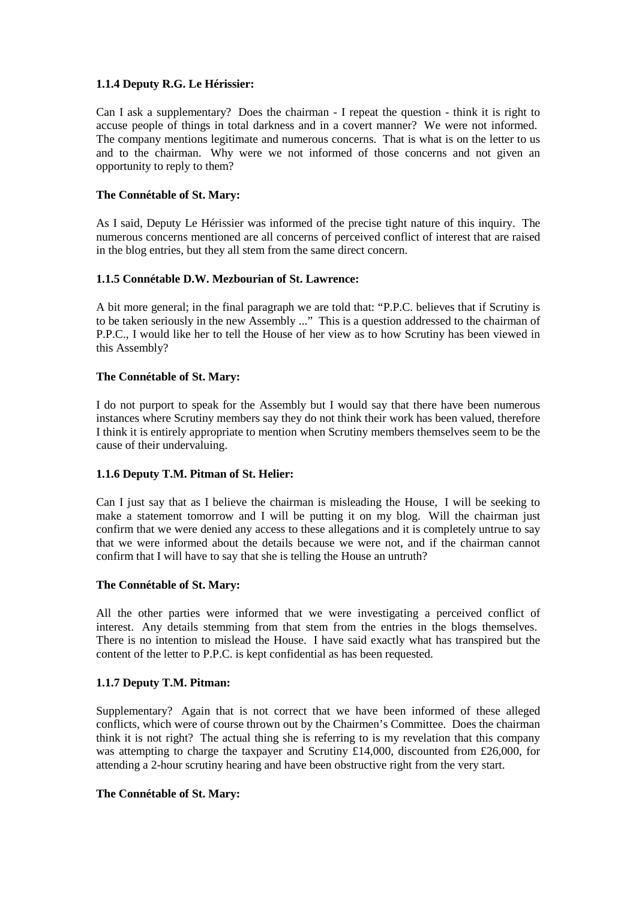## **1.1.4 Deputy R.G. Le Hérissier:**

Can I ask a supplementary? Does the chairman - I repeat the question - think it is right to accuse people of things in total darkness and in a covert manner? We were not informed. The company mentions legitimate and numerous concerns. That is what is on the letter to us and to the chairman. Why were we not informed of those concerns and not given an opportunity to reply to them?

## **The Connétable of St. Mary:**

As I said, Deputy Le Hérissier was informed of the precise tight nature of this inquiry. The numerous concerns mentioned are all concerns of perceived conflict of interest that are raised in the blog entries, but they all stem from the same direct concern.

# **1.1.5 Connétable D.W. Mezbourian of St. Lawrence:**

A bit more general; in the final paragraph we are told that: "P.P.C. believes that if Scrutiny is to be taken seriously in the new Assembly ..." This is a question addressed to the chairman of P.P.C., I would like her to tell the House of her view as to how Scrutiny has been viewed in this Assembly?

# **The Connétable of St. Mary:**

I do not purport to speak for the Assembly but I would say that there have been numerous instances where Scrutiny members say they do not think their work has been valued, therefore I think it is entirely appropriate to mention when Scrutiny members themselves seem to be the cause of their undervaluing.

## **1.1.6 Deputy T.M. Pitman of St. Helier:**

Can I just say that as I believe the chairman is misleading the House, I will be seeking to make a statement tomorrow and I will be putting it on my blog. Will the chairman just confirm that we were denied any access to these allegations and it is completely untrue to say that we were informed about the details because we were not, and if the chairman cannot confirm that I will have to say that she is telling the House an untruth?

## **The Connétable of St. Mary:**

All the other parties were informed that we were investigating a perceived conflict of interest. Any details stemming from that stem from the entries in the blogs themselves. There is no intention to mislead the House. I have said exactly what has transpired but the content of the letter to P.P.C. is kept confidential as has been requested.

## **1.1.7 Deputy T.M. Pitman:**

Supplementary? Again that is not correct that we have been informed of these alleged conflicts, which were of course thrown out by the Chairmen's Committee. Does the chairman think it is not right? The actual thing she is referring to is my revelation that this company was attempting to charge the taxpayer and Scrutiny £14,000, discounted from £26,000, for attending a 2-hour scrutiny hearing and have been obstructive right from the very start.

## **The Connétable of St. Mary:**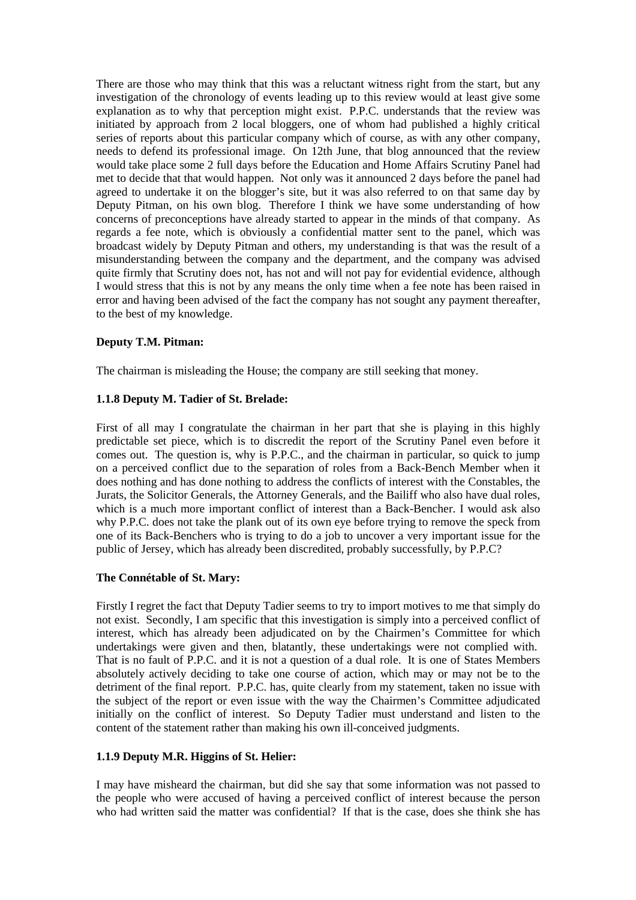There are those who may think that this was a reluctant witness right from the start, but any investigation of the chronology of events leading up to this review would at least give some explanation as to why that perception might exist. P.P.C. understands that the review was initiated by approach from 2 local bloggers, one of whom had published a highly critical series of reports about this particular company which of course, as with any other company, needs to defend its professional image. On 12th June, that blog announced that the review would take place some 2 full days before the Education and Home Affairs Scrutiny Panel had met to decide that that would happen. Not only was it announced 2 days before the panel had agreed to undertake it on the blogger's site, but it was also referred to on that same day by Deputy Pitman, on his own blog. Therefore I think we have some understanding of how concerns of preconceptions have already started to appear in the minds of that company. As regards a fee note, which is obviously a confidential matter sent to the panel, which was broadcast widely by Deputy Pitman and others, my understanding is that was the result of a misunderstanding between the company and the department, and the company was advised quite firmly that Scrutiny does not, has not and will not pay for evidential evidence, although I would stress that this is not by any means the only time when a fee note has been raised in error and having been advised of the fact the company has not sought any payment thereafter, to the best of my knowledge.

## **Deputy T.M. Pitman:**

The chairman is misleading the House; the company are still seeking that money.

#### **1.1.8 Deputy M. Tadier of St. Brelade:**

First of all may I congratulate the chairman in her part that she is playing in this highly predictable set piece, which is to discredit the report of the Scrutiny Panel even before it comes out. The question is, why is P.P.C., and the chairman in particular, so quick to jump on a perceived conflict due to the separation of roles from a Back-Bench Member when it does nothing and has done nothing to address the conflicts of interest with the Constables, the Jurats, the Solicitor Generals, the Attorney Generals, and the Bailiff who also have dual roles, which is a much more important conflict of interest than a Back-Bencher. I would ask also why P.P.C. does not take the plank out of its own eye before trying to remove the speck from one of its Back-Benchers who is trying to do a job to uncover a very important issue for the public of Jersey, which has already been discredited, probably successfully, by P.P.C?

## **The Connétable of St. Mary:**

Firstly I regret the fact that Deputy Tadier seems to try to import motives to me that simply do not exist. Secondly, I am specific that this investigation is simply into a perceived conflict of interest, which has already been adjudicated on by the Chairmen's Committee for which undertakings were given and then, blatantly, these undertakings were not complied with. That is no fault of P.P.C. and it is not a question of a dual role. It is one of States Members absolutely actively deciding to take one course of action, which may or may not be to the detriment of the final report. P.P.C. has, quite clearly from my statement, taken no issue with the subject of the report or even issue with the way the Chairmen's Committee adjudicated initially on the conflict of interest. So Deputy Tadier must understand and listen to the content of the statement rather than making his own ill-conceived judgments.

#### **1.1.9 Deputy M.R. Higgins of St. Helier:**

I may have misheard the chairman, but did she say that some information was not passed to the people who were accused of having a perceived conflict of interest because the person who had written said the matter was confidential? If that is the case, does she think she has